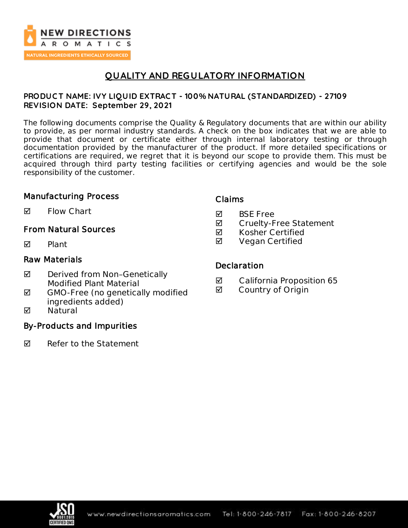

# **QUALITY AND REGULATORY INFORMATION**

### **PRODUC T NAME: IVY LIQUID EXTRAC T - 100% NATURAL (STANDARDIZED) - 27109 REVISION DATE: September 29, 2021**

The following documents comprise the Quality & Regulatory documents that are within our ability to provide, as per normal industry standards. A check on the box indicates that we are able to provide that document or certificate either through internal laboratory testing or through documentation provided by the manufacturer of the product. If more detailed specifications or certifications are required, we regret that it is beyond our scope to provide them. This must be acquired through third party testing facilities or certifying agencies and would be the sole responsibility of the customer.

### Manufacturing Process

 $\blacksquare$  Flow Chart

## From Natural Sources

 $\nabla$  Plant

## Raw Materials

- ◘ Derived from Non-Genetically Modified Plant Material
- $\boxtimes$  GMO-Free (no genetically modified ingredients added)
- **M** Natural

## By-Products and Impurities

 $\nabla$  Refer to the Statement

### Claims

- **M** BSF Free
- **Ø** Cruelty-Free Statement
- $\boxtimes$  Kosher Certified
- **Ø** Vegan Certified

### **Declaration**

- California Proposition 65
- **Ø** Country of Origin

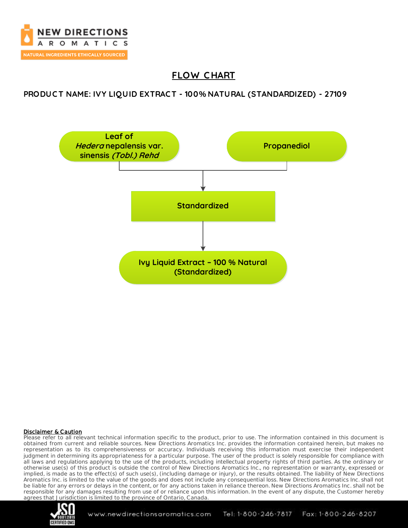

# **FLOW C HART**

## **PRODUC T NAME: IVY LIQUID EXTRAC T - 100% NATURAL (STANDARDIZED) - 27109**



### Disclaimer & Caution

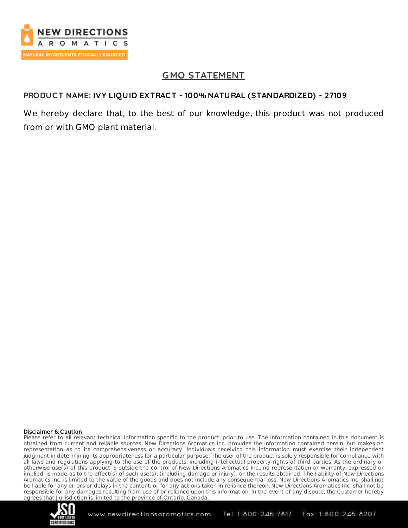

# **GMO STATEMENT**

## **PRODUC T NAME: IVY LIQUID EXTRAC T - 100% NATURAL (STANDARDIZED) - 27109**

We hereby declare that, to the best of our knowledge, this product was not produced from or with GMO plant material.

#### Disclaimer & Caution

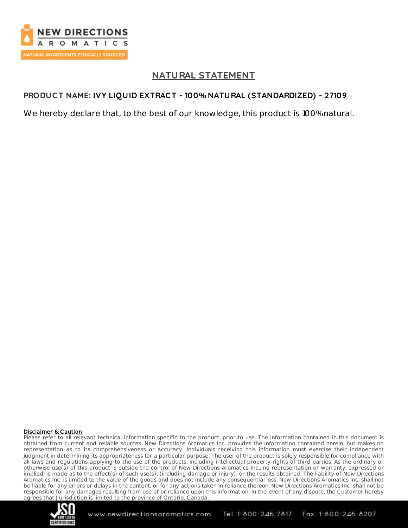

## **NATURAL STATEMENT**

## **PRODUC T NAME: IVY LIQUID EXTRAC T - 100% NATURAL (STANDARDIZED) - 27109**

We hereby declare that, to the best of our knowledge, this product is 100% natural.

### Disclaimer & Caution

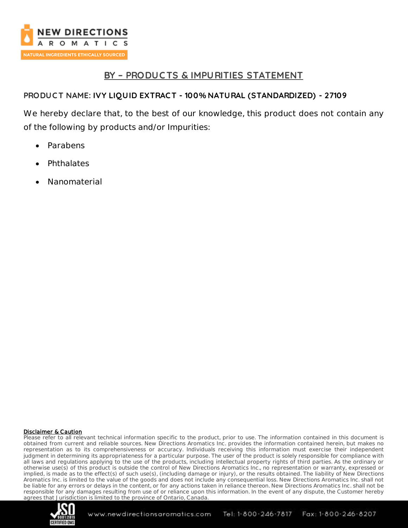

## **BY – PRODUC TS & IMPURITIES STATEMENT**

## **PRODUC T NAME: IVY LIQUID EXTRAC T - 100% NATURAL (STANDARDIZED) - 27109**

We hereby declare that, to the best of our knowledge, this product does not contain any of the following by products and/or Impurities:

- Parabens
- **Phthalates**
- Nanomaterial

### Disclaimer & Caution

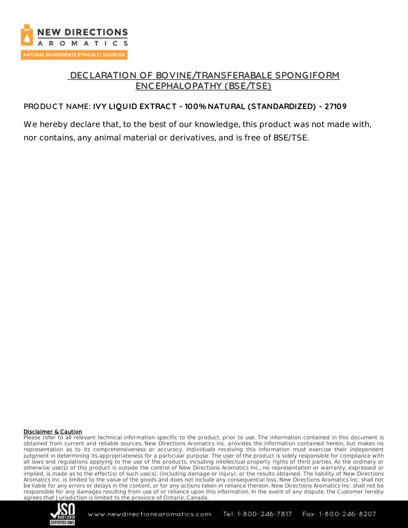

## **DEC LARATION OF BOVINE/TRANSFERABALE SPONGIFORM ENC EPHALOPATHY (BSE/TSE)**

## **PRODUC T NAME: IVY LIQUID EXTRAC T - 100% NATURAL (STANDARDIZED) - 27109**

We hereby declare that, to the best of our knowledge, this product was not made with, nor contains, any animal material or derivatives, and is free of BSE/TSE.

#### Disclaimer & Caution

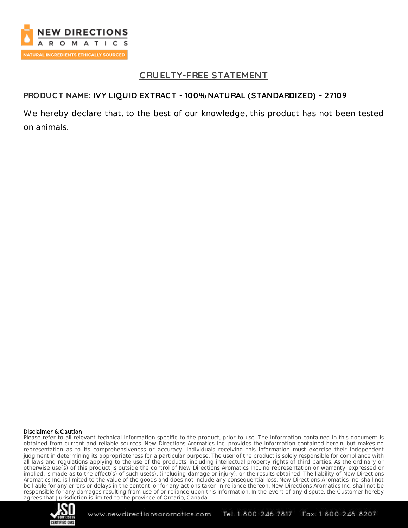

## **C RUELTY-FREE STATEMENT**

### **PRODUC T NAME: IVY LIQUID EXTRAC T - 100% NATURAL (STANDARDIZED) - 27109**

We hereby declare that, to the best of our knowledge, this product has not been tested on animals.

#### Disclaimer & Caution

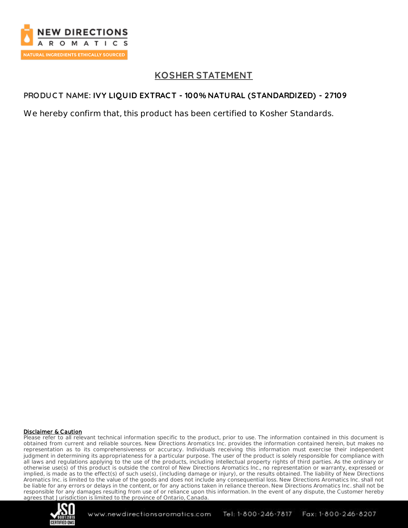

# **KOSHER STATEMENT**

## **PRODUC T NAME: IVY LIQUID EXTRAC T - 100% NATURAL (STANDARDIZED) - 27109**

We hereby confirm that, this product has been certified to Kosher Standards.

### Disclaimer & Caution

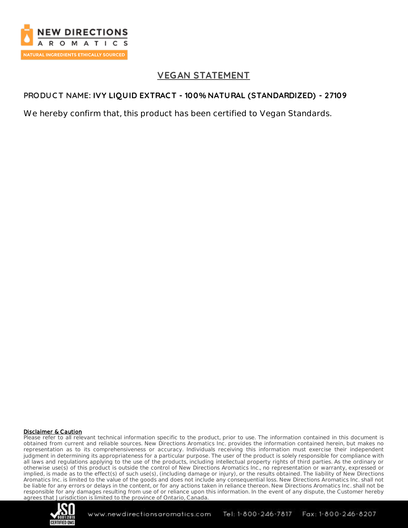

## **VEGAN STATEMENT**

## **PRODUC T NAME: IVY LIQUID EXTRAC T - 100% NATURAL (STANDARDIZED) - 27109**

We hereby confirm that, this product has been certified to Vegan Standards.

### Disclaimer & Caution

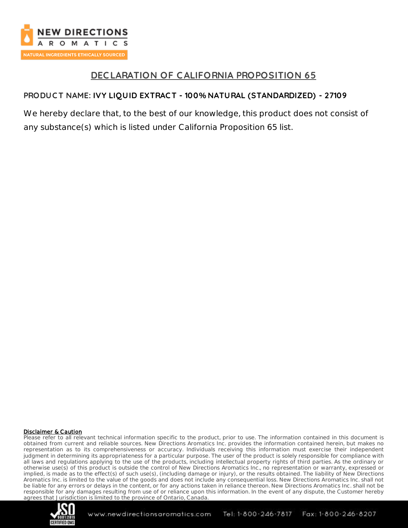

## **DEC LARATION OF CALIFORNIA PROPOSITION 65**

## **PRODUC T NAME: IVY LIQUID EXTRAC T - 100% NATURAL (STANDARDIZED) - 27109**

We hereby declare that, to the best of our knowledge, this product does not consist of any substance(s) which is listed under California Proposition 65 list.

### Disclaimer & Caution